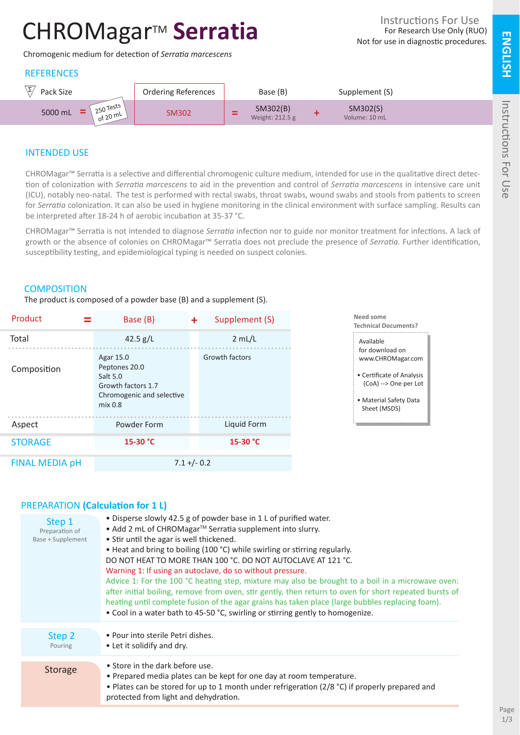# CHROMagar<sup>™</sup> Serratia

Chromogenic medium for detection of *Serratia marcescens*

# **REFERENCES**



# INTENDED USE

CHROMagar™ Serratia is a selective and differential chromogenic culture medium, intended for use in the qualitative direct detection of colonization with *Serratia marcescens* to aid in the prevention and control of *Serratia marcescens* in intensive care unit (ICU), notably neo-natal. The test is performed with rectal swabs, throat swabs, wound swabs and stools from patients to screen for *Serratia* colonization. It can also be used in hygiene monitoring in the clinical environment with surface sampling. Results can be interpreted after 18-24 h of aerobic incubation at 35-37 °C.

CHROMagar™ Serratia is not intended to diagnose *Serratia* infection nor to guide nor monitor treatment for infections. A lack of growth or the absence of colonies on CHROMagar™ Serratia does not preclude the presence of *Serratia.* Further identification, susceptibility testing, and epidemiological typing is needed on suspect colonies.

### **COMPOSITION**

The product is composed of a powder base (B) and a supplement (S).

| Product               | Base (B)                                                                                                        | ٠ | Supplement (S) |
|-----------------------|-----------------------------------------------------------------------------------------------------------------|---|----------------|
| Total                 | 42.5 $g/L$                                                                                                      |   | 2 mL/L         |
| Composition           | Agar 15.0<br>Peptones 20.0<br>Salt 5.0<br>Growth factors 1.7<br>Chromogenic and selective<br>mix <sub>0.8</sub> |   | Growth factors |
| Aspect                | Powder Form                                                                                                     |   | Liquid Form    |
| <b>STORAGE</b>        | 15-30 °C                                                                                                        |   | 15-30 °C       |
| <b>FINAL MEDIA pH</b> | $7.1 + (-0.2)$                                                                                                  |   |                |



## PREPARATION **(Calculation for 1 L)**

| Step 1<br>Preparation of<br>Base + Supplement | • Disperse slowly 42.5 g of powder base in 1 L of purified water.<br>• Add 2 mL of CHROMagar™ Serratia supplement into slurry.<br>• Stir until the agar is well thickened.<br>• Heat and bring to boiling (100 °C) while swirling or stirring regularly.<br>DO NOT HEAT TO MORE THAN 100 °C. DO NOT AUTOCLAVE AT 121 °C.<br>Warning 1: If using an autoclave, do so without pressure.<br>Advice 1: For the 100 °C heating step, mixture may also be brought to a boil in a microwave oven:<br>after initial boiling, remove from oven, stir gently, then return to oven for short repeated bursts of<br>heating until complete fusion of the agar grains has taken place (large bubbles replacing foam).<br>• Cool in a water bath to 45-50 °C, swirling or stirring gently to homogenize. |
|-----------------------------------------------|--------------------------------------------------------------------------------------------------------------------------------------------------------------------------------------------------------------------------------------------------------------------------------------------------------------------------------------------------------------------------------------------------------------------------------------------------------------------------------------------------------------------------------------------------------------------------------------------------------------------------------------------------------------------------------------------------------------------------------------------------------------------------------------------|
| Step 2<br>Pouring                             | • Pour into sterile Petri dishes.<br>• Let it solidify and dry.                                                                                                                                                                                                                                                                                                                                                                                                                                                                                                                                                                                                                                                                                                                            |
| <b>Storage</b>                                | • Store in the dark before use.<br>• Prepared media plates can be kept for one day at room temperature.<br>• Plates can be stored for up to 1 month under refrigeration (2/8 °C) if properly prepared and<br>protected from light and dehydration.                                                                                                                                                                                                                                                                                                                                                                                                                                                                                                                                         |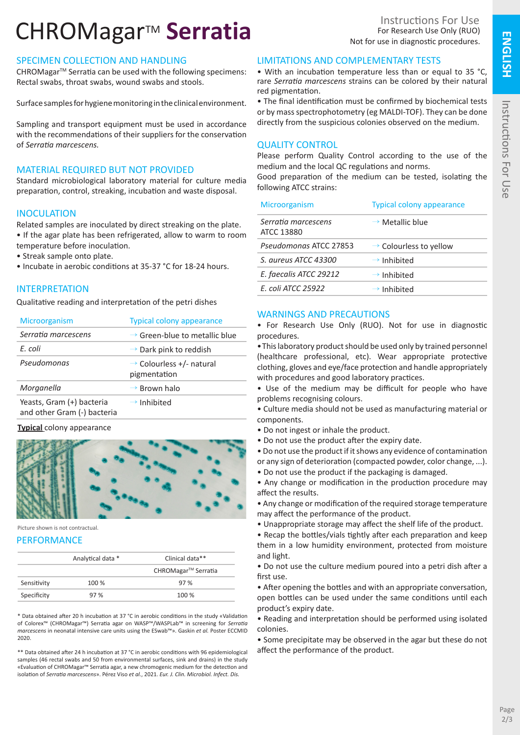# CHROMagar<sup>™</sup> Serratia

## SPECIMEN COLLECTION AND HANDLING

CHROMagar<sup>™</sup> Serratia can be used with the following specimens: Rectal swabs, throat swabs, wound swabs and stools.

Surface samples for hygiene monitoring in the clinical environment.

Sampling and transport equipment must be used in accordance with the recommendations of their suppliers for the conservation of *Serratia marcescens.*

# MATERIAL REQUIRED BUT NOT PROVIDED

Standard microbiological laboratory material for culture media preparation, control, streaking, incubation and waste disposal.

## **INOCULATION**

Related samples are inoculated by direct streaking on the plate.

- If the agar plate has been refrigerated, allow to warm to room temperature before inoculation.
- Streak sample onto plate.
- Incubate in aerobic conditions at 35-37 °C for 18-24 hours.

## INTERPRETATION

Qualitative reading and interpretation of the petri dishes

| Microorganism                                            | <b>Typical colony appearance</b>                     |
|----------------------------------------------------------|------------------------------------------------------|
| Serratia marcescens                                      | $\rightarrow$ Green-blue to metallic blue            |
| E. coli                                                  | $\rightarrow$ Dark pink to reddish                   |
| Pseudomonas                                              | $\rightarrow$ Colourless +/- natural<br>pigmentation |
| Morganella                                               | $\rightarrow$ Brown halo                             |
| Yeasts, Gram (+) bacteria<br>and other Gram (-) bacteria | $\rightarrow$ Inhibited                              |

#### **Typical** colony appearance



Picture shown is not contractual.

### **PERFORMANCE**

|             | Analytical data * | Clinical data**                 |
|-------------|-------------------|---------------------------------|
|             |                   | CHROMagar <sup>™</sup> Serratia |
| Sensitivity | 100 %             | 97%                             |
| Specificity | 97%               | 100 %                           |

\* Data obtained after 20 h incubation at 37 °C in aerobic conditions in the study «Validation of Colorex™ (CHROMagar™) Serratia agar on WASP™/WASPLab™ in screening for *Serratia marcescens* in neonatal intensive care units using the ESwab™». Gaskin *et al.* Poster ECCMID 2020.

\*\* Data obtained after 24 h incubation at 37 °C in aerobic conditions with 96 epidemiological samples (46 rectal swabs and 50 from environmental surfaces, sink and drains) in the study «Evaluation of CHROMagar™ Serratia agar, a new chromogenic medium for the detection and isolation of *Serratia marcescens*». Pérez Viso *et al.*, 2021. *Eur. J. Clin. Microbiol. Infect. Dis.*

## LIMITATIONS AND COMPLEMENTARY TESTS

• With an incubation temperature less than or equal to 35 °C, rare *Serratia marcescens* strains can be colored by their natural red pigmentation.

• The final identification must be confirmed by biochemical tests or by mass spectrophotometry (eg MALDI-TOF). They can be done directly from the suspicious colonies observed on the medium.

## QUALITY CONTROL

Please perform Quality Control according to the use of the medium and the local QC regulations and norms.

Good preparation of the medium can be tested, isolating the following ATCC strains:

| Microorganism                     | <b>Typical colony appearance</b>   |
|-----------------------------------|------------------------------------|
| Serratia marcescens<br>ATCC 13880 | $\rightarrow$ Metallic blue        |
| Pseudomonas ATCC 27853            | $\rightarrow$ Colourless to yellow |
| S. aureus ATCC 43300              | $\rightarrow$ Inhibited            |
| E. faecalis ATCC 29212            | $\rightarrow$ Inhibited            |
| E. coli ATCC 25922                | $\rightarrow$ Inhibited            |

## WARNINGS AND PRECAUTIONS

• For Research Use Only (RUO). Not for use in diagnostic procedures.

•This laboratory product should be used only by trained personnel (healthcare professional, etc). Wear appropriate protective clothing, gloves and eye/face protection and handle appropriately with procedures and good laboratory practices.

• Use of the medium may be difficult for people who have problems recognising colours.

• Culture media should not be used as manufacturing material or components.

- Do not ingest or inhale the product.
- Do not use the product after the expiry date.

• Do not use the product if it shows any evidence of contamination or any sign of deterioration (compacted powder, color change, ...).

• Do not use the product if the packaging is damaged.

• Any change or modification in the production procedure may affect the results.

• Any change or modification of the required storage temperature may affect the performance of the product.

• Unappropriate storage may affect the shelf life of the product.

• Recap the bottles/vials tightly after each preparation and keep them in a low humidity environment, protected from moisture and light.

• Do not use the culture medium poured into a petri dish after a first use.

• After opening the bottles and with an appropriate conversation, open bottles can be used under the same conditions until each product's expiry date.

• Reading and interpretation should be performed using isolated colonies.

• Some precipitate may be observed in the agar but these do not affect the performance of the product.

**ENGLISH**